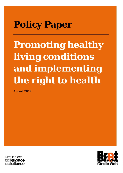# **Policy Paper**

**Promoting healthy living conditions and implementing the right to health**

August 2019



Mitglied der **Microhiance** actalliance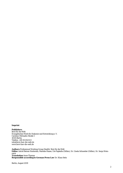#### **Imprint**

**Publishers** Brot für die Welt Evangelisches Werk für Diakonie und Entwicklung e. V. Caroline-Michaelis-Straße 1 10115 Berlin Telefon: +49 30 65211 0 info@brot-fuer-die-welt.de www.brot-fuer-die-welt.de

**Authors** Professional Working Group Health/ Brot für die Welt **Editor** Astrid Berner-Rodoreda, Mareike Haase, Ute Papkalla (Difäm), Dr. Gisela Schneider (Difäm), Dr. Sonja Weinreich **Translation** Anne Thomas **Responsible according to German Press Law** Dr. Klaus Seitz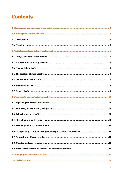# Contents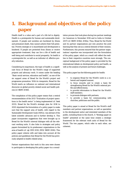# **1. Background and objectives of the policy paper**

Health itself is a value and a part of a life led in dignity. Health is a prerequisite for human and sustainable development. If people and societies are burdened by illness and premature death, they cannot achieve their full potential. Poverty emerges or is exacerbated and development is hindered. If people are protected from illness or receive appropriate treatment, they can live a life of health and well-being and contribute to social prosperity. So health is a prerequisite for, as well as an indicator of, effective poverty reduction.

Considering its importance, the topic of health is a significant focus of Bread for the World's range of supported projects and advocacy work. It comes under the heading "Basic social services, education and health", as one of the six support areas of Bread for the World's project and programme promotion. With its viewpoints, Bread for the World exerts an influence on national and international discourse on global poverty-related social and health policies (cf. BfdW 2016f).

The compilation of this policy paper means that a central recommendation of the 2013 "Evaluation of project operations in the health sector" is being implemented (cf. Seek 2013). Bread for the World's strategic plan for 2016 to 2020 stipulated the formulation of a policy paper to make sure that the support area of health, with regard to the Sustainable Development Goals (SDGs), was abreast of the latest scientific advances and to further develop it. This paper incorporates suggestions that were brought up in Bread for the World's internal dialogue with all the relevant working units. It also links to strategies and policy papers formulated by its predecessor organisations in the area of health (cf. vgl. EED 2010, EED/ BfdW 2006). This policy paper coheres with and takes into account all the policies and guidelines that Bread for the World has previously adopted in health-related areas.

Partner organisations that work in this area were chosen to participate in developing this policy paper via a consultation process that took place during two partner meetings (in Cameroon in November 2016 and in India in October 2017) (cf. BfdW 2016d, 2018a). Thus, Bread for the World and its partner organisations put into practice the joint learning that they see as a central element of their mission. Furthermore, this process ensured that the partner organisations' expertise was incorporated into the formulation of the policy paper, which as a result will reflect the realities in their respective countries more strongly. The conceptual background of the policy paper is provided by the international debate on development policy and health, as well as the analysis of present and future challenges.

This policy paper has the following goals for health:

- to organise Bread for the World's work in a coherent and targeted manner;
- to focus inwards and to create a basis for strengthening Bread for the World's external profile and effectiveness;
- to provide information to Bread for the World's staff members;
- to promote dialogue with partners;
- to provide a basis for communicating with churches, politicians and the public.

This policy paper is aimed at Bread for the World's staff members and partner organisations, as well as specialists in the development sector and interested members of the public, including those in the church. A "Strategy paper on health" presented at the same time creates a strategic framework for the relevant work units of Bread for the World. The two papers, which refer to each other, are coherent.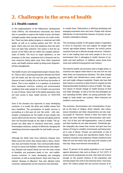# **2. Challenges in the area of health**

### **2.1. Health context**

In the implementation of the Millennium Development Goals (MDGs), the international community has shown that it is possible to improve the health of poor and disadvantaged people when enough resources are made available. There has been global progress in maternal and child health, as well as in curbing malaria and HIV. Yet the goals, which were not even that ambitious from the start, have not been fully achieved. One reason is that the approach of the MDGs did not reflect the complex determinants of health. The focus on major epidemics, as was necessary at the time, sometimes led to financial and human resources being taken away from other important areas; and health systems ended up being more fragmented than strengthened.

The health of poor and marginalised people remains drastic. There is still a shocking discrepancy between the North and the South and the rich and the poor regarding the chances to lead a healthy life or be free from the burden of illness. This is true whether it is a question of protection from inadequate nutrition, working and environmental conditions that make people ill or of health care provision in case of illness. About half of the global population does not have access to basic health services (cf. WHO/WB 2017).

Even if the situation has improved in many developing countries, it is mostly the elites and middle classes that have benefitted. The privatisation of health services is proceeding at a fast pace all over the world - with catastrophic consequences for the health of poor people who cannot afford private services. National and global policies have not focussed enough on the right to health. The approach has often been to introduce short-term, mainly technological solutions, instead of effectively changing the underlying structures responsible for bad health care provision.

Although the death rates from infectious diseases have fallen across the world, they remain high in Africa, Southeast Asia and Eastern Europe. Non-communicable diseases such as cancer and diabetes, cardiovascular and respiratory diseases and mental illness are now the main causes of disability and premature death in low- and middleincome countries. In many developing and emerging economies, as well as among donors, these were long considered "diseases of affluence" that only affected richer countries; subsequently too few resources were allocated

to combat them. Malnutrition is affecting developing and emerging economies more and more. People with chronic deficiencies of micronutrients because of poverty are particularly vulnerable to disease.

The increasing number of old people makes it imperative to focus on long-term care and support for people with chronic age-related disease. However, the world's poorer countries have yet to allocate enough resources. Urbanisation is also leading more and more people to live in an environment that is damaging to health because of air, water and land pollution. In addition comes stress from noise and confined living quarters and violence.

The need for health care provision rises in fragile states, in countries and regions where there is war and civil war and when there are humanitarian disasters. The often already poor health care infrastructure comes under more pressure and might collapse completely. People who have fled their homes or countries or been forced to migrate are also disproportionately burdened in terms of health. The negative impact of climate change on health because of food and water shortages, as well as the fact that pathogens are now spreading further afield, are posing particular challenges to weak health care systems. More resources are needed to overcome them.

The exclusion, discrimination and criminalisation of people on the basis of religion, ethnic identity, skin colour, sexual orientation and other characteristics are also making people ill. Moreover, illness is often the reason why people and their families face discrimination and exclusion. Out of fear and self-stigmatisation, some ill people and their families do not seek treatment. Worldwide gender inequality also means that women and girls have less chance of living in a healthy environment and being treated in case of illness. Women are particularly at risk of disease linked to sexual and reproductive health. Even if maternal mortality and pregnancy-related conditions have fallen all over the world, they still cause 830 women to die each day. Many more become chronically ill.

About 70 percent of the global population is not insured against elementary risks such as illness (cf. ILO 2017). If social security programmes do exist, they tend not to focus enough on the poorest sections of the population and exclude people who work in the informal sector. Each year, about 100 million people fall into poverty because of ill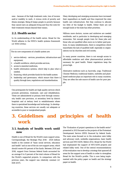ness - because of the high treatment costs, loss of income and/or inability to work. A vicious circle of poverty and illness emerges: Being ill keeps people in poverty because they cannot earn an adequate living and thus the costs for their treatment remain beyond their means.

### **2.2. Health sector**

In its understanding of the health sector, Bread for the World adheres to the WHO's health systems framework (cf. WHO 2010a):

The six core components of a health system are:

- 1. service delivery services, procedures, infrastructure and equipment,
- 2. a health workforce, which provides services,
- 3. access to essential medicines,
- 4. health information systems, which help to plan what is needed,
- 5. financing, which provides funds for the health system
- 6. leadership and governance, which ensure that there is quality through laws, regulations and standardisation.

One prerequisite for health are high-quality services which promote prevention, treatment, care and rehabilitation. These are administered at primary level through community health care provision, at secondary level by district hospitals and at tertiary level in establishments where there is specialised knowledge and technology. In developing countries, these services are usually not adequate or accessible to poor or marginalised people.

Many developing and emerging economies have increased their expenditure on health and thus improved the state health care infrastructure. But they continue to allocate too little of the budget to health. Either there are not enough funds or the state has other priorities.

Millions more doctors, nurses and midwives are needed worldwide, and in particular in developing and emerging economies. Not enough people train for these jobs and those who are qualified often move on to better paid positions. In many establishments, there is competition which exacerbates the lack of qualified staff, especially in organisations run by churches and civil society.

In many poorer countries, there is not enough access to affordable medicine and other pharmaceutical products necessary for good health. Patent regulations keep the prices high.

Alternative medicine such as Ayurveda, yoga, Traditional Chinese Medicine, traditional healers, midwifes and plantbased medicine plays an important role in many countries. They are often the sole source of health care for poor people.

# **3. Guidelines and principles of health work**

# **3.1. Analysis of health work until now**

Health is one of Bread for the World's main support areas. Correspondingly, the Strategic Plan 2016 - 2020 defines health in the context of "basic social services, education and health" and as one of the six core support areas, which should receive 80 percent of the funds. Between 2014 and 2016, support from German federal funds accounted for an average 8 to 9 percent of the total volume of Bread for the World's supported projects. In comparison with the previous years, the support was relatively constant (cf. EZE 2017).

The "Evaluation of project operations in the health sector" presented in 2013 focused on the projects of the Protestant Development Service (EED) financed by federal funds. The main areas focused on in the evaluation were lobby and advocacy work, umbrella organisations, basic health services and HIV/AIDS. Before 2012, Bread for the World had emphasised the support of HIV/AIDS projects and related lobby work. One of the central recommendations of the evaluation was to develop a strategy that spanned all areas for the support area of health in order to strengthen Bread for the World's profile. This is now being implemented with the policy paper on health and the strategy paper on health.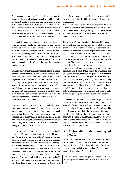The evaluation found that the majority of projects focussed on the poorest regions of countries and those with the biggest health problems and that the measures were highly relevant for the funded regions. In future, it will also be possible to promote health in all countries. Support can be relevant in low-income countries as well as middleincome countries because in both cases large parts of the population are excluded from health care provision.

The explicit recommendation of the evaluation that the focus on primary health care and basic health care be maintained will be followed as projects that support these contribute to the improvement of health. Integrated community development projects, where health measures play a role, will continue to be supported. For many target groups, health is a relevant problem area and a transsector approach can do a lot for the extensive improvement of health.

Bread for the World, Diakonie Katastrophenhilfe and their partner organisations also played a role in efforts to overcome the Ebola epidemic in West Africa 2014/ 2015. In conjunction with the German Institute for Medical Mission (Difäm), the organisations were able to provide rapid support for operations in a non-bureaucratic way, making use of already existing partner structures and ensuring, as an important complementary measure to medical treatment, that local communities were involved and able to take on responsibility. This is one example of how global health crises can be overcome.

In future, Bread for the World's support will focus even more on finding an approach that strengthens health systems instead of focussing on the prevention or treatment of individual diseases. This is one way of incorporating the lessons learned from the Ebola crisis and the global debate and practice, i.e. that an approach focused exclusively on one disease, for example HIV/AIDS, has not contributed enough to improving health overall.

The fundamental idea is that partner organisations should be responsible for prioritisation and there should not be any "competition" between different diseases; instead decisions should be made as part of a partner dialogue according to context. This also accounts for new challenges. The development policy debate has shifted its focus to non-communicable diseases and mental health, which will be given more attention in future, as also the partner organisations have requested. On top of the still necessary support of women's and children's health, there should also be more focus on effecting structural changes to ensure that there is more gender equality in the area of health. Furthermore, concepts for mainstreaming disability in the area of health will be developed with the partner organisations.

The idea of complementing financial support with other instruments that was recommended by the evaluation will also be developed. Creating a stronger mix of instruments and sensitising all participants are tasks that go beyond the support area of health.

The evaluation's recommendation that consulting capacity be expanded so that projects can be provided with more expert support has been implemented; an additional parttime health consultant has been employed at International and Domestic Programmes. In addition to this, an international health policy advisor in the politics department provides expert support to the partner organisations' lobby work. The cross-departmental specialist group health has an important function in promoting the exchange of ideas and in creating coherence in the support area. As a specialist church unit, Difäm conducts evaluations and studies and provides advice on the ground locally, advising staff members in partner dialogue and contributing to further in-house training. This cooperation has been very valuable thanks to Difäm's expertise and fast and flexible working methods. Since there is little specific in-house knowledge on health, this should be a criterion when new staff members are employed in the relevant working units, considering the importance of the support area of health.

Politicians and civil society have acknowledged the expertise of Bread for the World in the area of health policy, especially the fact that it follows processes at the WHO very carefully and keeps a watchful eye. The role of lobby and advocacy work for both the partner organisations and Bread for the World will be further developed, in accordance with the goals of the Strategic plan for 2016 - 2020. What is crucial is that Bread for the World takes into account the partner organisations' lobby work and cooperates with them at a global level.

# **3.2. A holistic understanding of health**

Bread for the World is not a medical organisation specialised in health but its activities are based on the recognition that health is central for the development of a life with dignity. It has a holistic understanding of health based on the WHO's definition (WHO 1946):

Health is a state of complete physical, mental and social well-being and not merely the absence of disease or infirmity.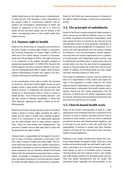Health should focus on the whole person, combining spirit, body and soul. This demands a critical examination of the western model of "conventional medicine" with its medical and technological understanding of health and disease. In opposition to this, the idea is to strive for health services that place people, and not disease, in the centre, accompanying them in their health needs their whole lives long.

### **3.3. Human right to health**

Bread for the World bases its viewpoints and activities in the area of health on human rights. Health is anchored in the Universal Declaration of Human Rights (UDHR) of 1948 and in the United Nations Covenant on Economic, Social and Cultural Rights of 1976 as "the right of everyone to the enjoyment of the highest attainable standard of physical and mental health" (cf. DIMR 1976). Bread for the World supports the areas of activity defined in the covenant for implementing the right to health, which include a holistic understanding of health with regard to the environment and living and working conditions.

In the concretisation of the right to health, the Covenant on Economic, Social and Cultural Rights focuses on poor people's access to good quality health care provision and medical products. It emphasises the demand that there should be no discrimination when it comes to access to health services - even if there are limited resources - and that this should be effected immediately. It states that other demands regarding the right to health can be fulfilled gradually.

Bread for the World's aid and advocacy work in the field of health is based on human rights, including the right to health and the right to benefit from scientific progress. There is no contradiction in this rights-based approach and the need-oriented work of many partner organisations: These are inter-related and complementary. The provision of health services often goes hand in hand with the demand for the right to health.

Germany bears a responsibility for the impact of its activities or those of German companies in third-party countries, when it comes to health and human rights. The covenant states that human rights and a global community in which there is solidarity can also be achieved with international cooperation and aid. Therefore, Bread for the World believes that the international community bears a responsibility; accordingly, it campaigns for the German government and global institutions to provide long-term support for health through bilateral and multilateral cooperation.

Bread for the World also raises awareness of breaches of the right to health and keeps a critical eye on government activity.

# **3.4. The principle of subsidiarity**

Bread for the World considers pluralistic health systems in which services are provided by different actors as a basis for health. According to the principle of subsidiarity, social tasks should not first be resolved by the state but by the self-dependent actions of social groupings. Subsidiarity is understood as an acknowledgement of competence. It is in accord with self-empowerment and civil society's demand for influence, a voice and participation. Church organisations and other civil society organisations are in a position to provide people with independent health services, even in authoritarian and failed states. In many places, they can provide better care than the state either for geographical reasons or because people will accept their services more readily. In addition, by providing health care they comply with their charitable mission (cf. EKD 2013).

The concept of subsidiarity, however, does not absolve the state of its responsibility to fulfil, protect and respect the right of the population to health. Bread for the World supports partner organisations in their lobbying of national governments to adequately fund health systems and to support church and civil society organisations. But the autonomy of church and civil society organisations must be ensured, with these acting according to frameworks and laws set by the state but not on its behalf.

# **3.5. Church-based health work**

Bread for the World's understanding of itself as a relief organisation of the Protestant churches is important for its activities. Its work is rooted in the belief that the world is testimony to God's creation, in His love which is embodied precisely by the poor and disenfranchised neighbour, and in the hope of a just world as God's will would have. The responsibility of churches to comply with their Christian mission to be there for the whole person and to promote health is of great significance.

Referring to the Gospel, churches have always felt a particular responsibility for people's health. They have a long tradition of providing health care and health, next to education, was always one of the main focuses of missionary work abroad, as well as of charitable work in Germany. Churches always had and continue to have a very specific and multi-faceted potential for providing health services. They have global representatives and are usually well networked locally, regionally and internationally; at the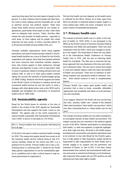same time they enjoy the trust and respect of people on the ground. It is their intention that ill people and their families come to them seeking concrete charitable aid, as well as spiritual succour and political support. There have always been health services provided by civil society organisations, particularly those based on faith, when there were no adequate state services. Today, churches often remain the only provider of health services - especially in rural areas, in crisis regions and for people who would otherwise not have access. In Africa, churches deliver 20 to 40 percent of health services (Difäm 2014, p.6).

Christian umbrella organisations which bring together associations and special interest groups related to churchbased health facilities are a focus of Bread for the World's cooperation and support. Since they have greater potential and more resources than individual member organisations, they receive support in their endeavours, through advocacy and expertise, to play a role in state policy when it comes to questions related to funding infrastructure and medical staff, as well as to steer policy-makers towards taking into account the interests of disadvantaged groups (cf. BfdW 2016g). Bread for the World supports the desire of the World Council of Churches to combine church and ecumenical health services all over the world, to enter a dialogue with other global actors such as the WHO and to highlight and strengthen the contribution of ecumenical health work (cf. ÖRK 2018).

# **3.6. Sustainability agenda**

Bread for the World places its activities in the area of health in the context of the 2030 Agenda for Sustainable Development and also supports the motto "Leave no one behind". The agenda calls on the world community to improve health sustainably with Sustainable Development Goal 3 (SDG 3) and its 13 sub-goals (cf. UN 2015a):

SDG 3: "Ensure healthy lives and promote well-being for all at all ages."

At the fore is the goal to achieve universal health coverage by 2030. This means that people should have access to all the necessary health services without being at risk of financial hardship. Bread for the World uses SDG 3 as a guidance for its activity. Primary health care is also a contributing factor to achieving SDG 3. Bread for the World helps partner organisations to use the sustainability agenda as a guideline and to take a critical stance to urge national governments to implement it.

The fact that health not only depends on the health sector is reflected by the SDGs. Almost all of them apart from SDG3 are directly or indirectly linked to health: health is a cross-cutting topic within the social, ecological and economic context of sustainable development.

# **3.7. Primary health care**

The concept of primary health care is a pillar in the support of health (cf. WHO 1978). It was developed in the 1960s by the World Council of Churches Christian Medical Commission and Difäm also participated. There was close cooperation with the WHO, which also changed its strategy in this regard. The Declaration of Alma-Ata was adopted at the International Health Conference on Primary Health Care in 1978, with the aim of achieving better health for everybody. The idea was to overcome the topdown approach that was dominant at the time and continues to dominate today. The aim was to ensure that people in rural and isolated regions could also enjoy the benefits of health care provision. There was no intention of abolishing hospitals and specialised medical treatment, however - these should continue to exist in complementary fashion.

Primary Health Care means good quality health care provision that is close to home, accessible, affordable, appropriate and acceptable and based on local participation and ownership.

In its support, Bread for the World will now use the English term "primary health care" instead of the hitherto often used translation "basic health care provision" which was often (mis)understood as "cheap health care for the poor".

The concept of primary health care was often translated in an incomplete manner as basic health care provision. The original concept has now returned to the political agenda as part of the SDGs. Patients' participation in maintaining their health, i.e. their own expertise, is explicitly highlighted as their right and duty. All levels in the health system, including local communities and patients themselves have to be involved. In line with Bread for the World's aspiration to help people to help themselves, people should be empowered to take responsibility for their health and to actively engage in its support and the prevention and treatment of illness. In case of HIV, it has been clearly demonstrated that national and international health policies and access to antiretroviral therapy can be fundamentally improved when people who are HIV-positive are well informed and claim their right to health.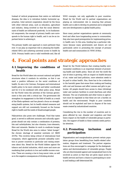Instead of vertical programmes that centre on individual diseases, the idea is to introduce holistic horizontal approaches. Inter-sectoral cooperation should be the focus with other relevant areas, such as education, agriculture and industry, being involved so that the social determinants of health are influenced positively. In its fundamental components, the concept of primary health care corresponds to the human right to health, and it can be an important factor in achieving it.

The primary health care approach is more pertinent than ever. It can play an important role in attaining the healthrelated SDGs and achieving universal access to health by 2030. Primary health care is valid worldwide and, like all WHO concepts, not only applicable to poor countries. Bread for the World and its partner organisations are playing an instrumental role in ensuring that primary health care is able to develop its potential and is integrated into new developments in global health policy.

Since many partner organisations operate at community level and often have longstanding access to communities, they also have good prerequisites for implementing primary health care. In this area, funding has a particular relevance because many governments and donors are not particularly active in promoting the concept of primary health care and communities (cf. WHO 2016a).

# **4. Focal points and strategic approaches**

# **4.1. Improving the conditions of health**

Bread for the World takes into account national and global structures when it conducts its activities, so that it can exert a positive influence on the social conditions of health. Its aim is for German, European and international health policy to be more coherent and better coordinated and for it to be combined with other policy areas. Bread for the World views the activities of the German government in this area with a critical eye. The government did strengthen its engagement in the field of health as a result of the Ebola epidemic and has placed a focus on strengthening health systems, but its health-related measures and support are still not consistently focused on the human right to health and the needs of disadvantaged people.

Malnutrition also poses new challenges. Food that tastes good, is served in sufficient amounts and culturally appropriate should not only contain a combination of proteins, fats and carbohydrates, but also vitamins, trace elements, fibre and minerals. Besides its work to eradicate hunger, Bread for the World also aims to reduce "silent hunger", the chronic shortage of essential nutrients (cf. BfdW 2017b). This involves being critical of international food companies, which aggressively promote unhealthy nutrition in poorer countries in particular and raising awareness about this. Bread for the World lobbies against the tobacco and alcohol industries, which more and more are marketing their products in low and middle-income countries. These are causing a rise in lung cancer rates, as well as in the negative consequences of drinking alcohol.

Bread for the World believes that creating healthy environmental conditions is an important element of promoting health and health policy. Since all over the world the size of cities is growing, with an impact on health because of air, water and land pollution, more attention needs to be paid to urban health. Also, there has to be a reduction in the harmful gases that ensue from cooking and heating with coal and biomass and affect women and girls in particular. All people should have access to clean (drinking) water and sanitary facilities to avoid diarrhoea and other illnesses. The use of pesticides and other toxins in agriculture must be regulated so that these are not a burden on health and the environment. People in poor countries should not be exploited and have to dispose of the toxic waste created by industrialised countries.

Considering the rise in the number of countries and regions affected by war, disaster and migration and their heavy impact on the health of vulnerable groups in particular, the support of health in these contexts needs particular attention.

# **4.2. Promoting inclusion and participation**

Stigmatisation and marginalisation prevent certain population groups from benefitting from health-related information, diagnosis and treatment. The partner organisations are thus encouraged to campaign for the destigmatisation and decriminalisation of vulnerable groups. People who are discriminated against and marginalised have to be involved as actors so that they are given equal access to health services and have a chance in participating in society and leading a self-determined life.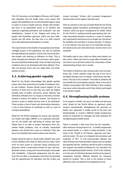The UN Convention on the Rights of Persons with Disabilities stipulates that the health sector must ensure that people with disabilities are not discriminated against when it comes to access to health services. People with disabilities have to be guaranteed access to all facilities and measures regarding prevention and treatment, care and rehabilitation. Instead of the "helping and caring for" people with disabilities approach, which was once widespread and still exists, the idea now is to shift towards more self-determined participation in society.

The improvement of the health of marginalised and disadvantaged groups of the population can also be achieved through talking with political, church and communal decision-makers and exerting an influence on them. This is about changing the attitudes and structures which generate and perpetuate disadvantage. Ways of improving living conditions have to be developed with those affected. Thus, they can become actors who can shape their own development process.

# **4.3. Achieving gender equality**

Bread for the World acknowledges that gender equality means more than promoting the health of pregnant women and mothers. Women should receive support for the duration of their lives so that they can reach the highest possible state of health. Structures, power relations and individual attitudes have to change so that they promote, instead of restrict, the health of women. The barriers to women's access to health services have to be eradicated. These include a lack of funds and information/education, a lack of time because of workloads as well as a lack of transport possibilities.

Bread for the World campaigns for sexual and reproductive health and rights (SRHR) as an important precondition for the health and well-being of women and men. People have to be able to protect themselves from sexrelated health problems, such as sexually transmitted diseases, and should have access to treatment. They also have to be shielded from sexual violence and coercion.

People should be able to choose freely whether they want to have children and if they do when and how many. There must be more access to voluntary family planning programmes, which is particularly limited for poor and marginalised women, young and unmarried people and people with disabilities. Unplanned pregnancies and the abortions that are often a consequence could thus be prevented and the opportunities for education and life of girls and women increased. Women with unwanted pregnancies should receive all the support that they need.

With its activities in the area of health Bread for the World campaigns against sexualised, psychological and physical violence, which has grave consequences for health. Bread for the World is working towards guaranteeing that sexually transmitted diseases incurred as a result of violence and unprotected intercourse are no longer key risk factors for disability and mortality in women and girls. If violence is to be reduced, men also have to be sensitised and gender-based norms and roles that favour violence have to be contested.

The health risks to men, which are often work-related, are also a focus. When men tend to accept offers of health care very late or not at all there needs to be a discussion of their understanding of their role in society.

The health of children is also coming under more scrutiny. Every day, 15,000 children under the age of five die of avoidable illnesses such as measles, tuberculosis and diarrhoea. This has to be countered. The health of children will also benefit from more gender equality; there is less risk of children dying before their fifth birthday if their mothers have basic school education and if their fathers participate in the family's health.

# **4.4. Strengthening health systems**

In its support of health, but also in its lobby and advocacy work, Bread for the World follows an approach which involves systematically strengthening the provision of health care, especially to enable access to the poor and disadvantaged. A country's different health programmes should be examined for synergies and their potential for strengthening the health system.

There is currently a shift away from the silo mentality often dominant among donors too - in health programmes and instead health as a whole is being promoted, in the sense of the "Health in All Policies" approach and intersectoral action. The aim is to integrate the prevention and treatment of HIV, of non-communicable diseases and other illnesses into existing health systems and not expand the separate services. Attention should be paid to ensuring that support and political lobbying do not contradict the goal of strengthening health systems. Even if the challenges in the area of individual illnesses should not be ignored, competition between different diseases for resources should be avoided. This is also in the interest of those affected as they can benefit from integrated services.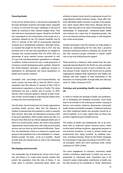#### *Ensuring funds*

In the not too distant future, it will become impossible for the least developed countries and fragile states, especially in Africa, to overcome the major challenges in the area of health by resorting to their national budgets alone. They will need more international support. Bread for the World has campaigned for the achievement of the target set in a resolution adopted by the UN General Assembly that by 2015 0.7 percent of the GDP of economically advanced countries go to development assistance. Although Germany reached this target for the first time in 2017, this was primarily due to the fact that expenditure on refugees in Germany was counted towards ODA. For 2018, ODA as a percentage of gross national income amounted to only 0.51 per cent excluding domestic expenditure on refugees. In addition, health accounts for only a small proportion of Germany's overall development policy portfolio. Bread for the World therefore advocates a significant increase in expenditure on development and actual expenditure on health care in poorer countries.

Translated with www.DeepL.com/TranslatorHardly any donor country has been able to meet the WHO's recommendation that they allocate 0.1 percent of their GDP to international cooperation in the area of health. The Abuja Declaration has had a similar lack of success: In 2001, African Union countries agreed to allocate at least 15 percent of their annual budget to improving the health sector in return for more international aid.

Like the state, church-based and civil society organisations providing health services, often face the dilemma of whether to demand fees from patients in order to maintain their services. Since they see themselves as having a duty to the poor population, which usually cannot pay fees, it is the poor who often end up without adequate health care. If there is no social security system, the result is that partner organisations cannot break even when they provide health services and can wind up with financial difficulties. Therefore, the abolishment of fees as a measure to support poor groups of the population has to be embedded in a comprehensive concept. The state - as far as is possible - should provide staff and infrastructure as well as the refinancing of services.

#### *Developing social security*

One sustainable way of breaking the vicious circle of poverty and illness is to create social security systems that protect the population from the risks of illness. It can make sense to promote community-based health care

schemes to expand social security programmes as part of a comprehensive health insurance system. These offer relatively affordable health insurance to groups of the population, which cannot afford other forms. Because state systems, when they exist at all, tend to lock people into formal relationships of employment, community-based health care schemes are a good way of integrating people, who are in an informal working relationships or self-employed, into a state social system.

Another advantage is that the schemes can help people to develop an understanding for the risks that a proactive insurance mechanism based on solidarity can counter and also that insurance groups contribute to holistic health care on top of providing financial support.

There should be a linking to state models from the start, especially because Bread for the World can only contribute to financial insurance as part of such a scheme for a limited amount of time. Bread for the World and its partner organisations integrate their experiences with health care schemes and their support of state frameworks in the discussion on funding health through lobby and advocacy work (cf. Difäm, Scenarium 2017).

#### *Training and promoting health care professionals*

In order to remedy the shortage of health care professionals in developing and emerging economies, more funds need to be invested in the training and further training of doctors, care workers, midwives, pharmacists, community health workers and health managers. Traditional midwives and other traditional health care providers should be involved explicitly, as in many regions they are those who provide a significant part of health services.

The exodus of health care professionals has to be countered with an improved human resources policy, which involves good working conditions, appropriate payment or non-financial incentives. In order to prevent health care professionals from being "poached" by wealthier countries, including Germany, Bread for the World campaigns for recruitment to take place according to the WHO's ethical principles, which ban active poaching under certain conditions (cf. WHO 2010b).

The active engagement of voluntary community health workers contributes significantly to health care and empowerment at community level. Volunteers have to be trained to make a high-quality contribution to health care but they should not be considered as "cheap" alternatives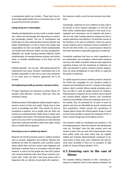to professional health care workers. These latter have to ensure high-quality health care at community level, as well as supervise and train volunteers.

#### *Integrating new technologies*

eHealth and digitalisation are key words in modern health care, where new technologies and approaches are becoming increasingly present. The use of smartphones and health apps can ease communication between patients and health establishments, as well as ensure that people take responsibility for their own health. Health establishments can benefit from electronic health care data management; telehealth can enable learning between different health establishments, for example between primary and tertiary levels, or between establishments in the South and the North etc.

eHealth especially - but not only - offers great potential for underserved rural areas. However, information has to be handled responsibly if risks such as poor data protection or too much focus on technical approaches are to be avoided.

#### *Strengthening health promotion and prevention*

Of major importance are measures to prevent illness, for example early detection, vaccines, check-ups, tests and awareness-raising.

Health promotion (Salutogenese) enables people to gain or improve control of their own health. People have to have access to knowledge and skills. They should not only be considered as patients, but as people with the skills and resources to understand their health whom it makes sense to strengthen and involve. The treatment literacy approach used in the area of HIV so that patients are well-informed about their treatment and able to claim their rights, should lead to a health literacy approach.

#### *Ensuring access to medical products*

Bread for the World promotes access to medical products such as vaccines, diagnostics and medicine. Because new medicines are often too expensive, poor countries cannot always afford them and thus cannot make diagnoses and administer treatment that is in accordance with the latest research. It used to be that people who were HIV-positive only received treatment when their illness reached a particular state. Today, the idea is that every person who is diagnosed with an infection be provided with medicine - this improves results, saves lives and prevents new infections.

Increasingly, medicines are not as effective as they used to be because of more resistant pathogens (cf. Brot für die Welt 2015a). Antimicrobial resistance is the result of unregulated and unnecessary use of medicine and poses a risk not only when treating infectious diseases but also in surgical operations and obstetrics. Of particular concern is the situation in the area of antibiotics, which are used in human medicine and in (intensive) animal husbandry (cf. Brot für die Welt 2018c). As a countermeasure, Bread for the World advocates a responsible approach to medicines.

Counterfeit medicines that have no active ingredients or are substandard, also strengthen antimicrobial resistance and harm the health of patients. Because state regulations regarding licenses and the monitoring of medicines are often sub-standard in poorer countries, partner organisations are being strengthened in their efforts to supervise the quality of medicines.

To enable improved access to medical products, Bread for the World also campaigns for new incentive models in research and development and for a change of the patent system, which currently follows market principles and is thus not able to meet the global demand for medicine. Pharmaceutical companies do not conduct much research into poverty-related diseases because such investment would not be profitable. When new medicines come out on the market, they are protected for 20 years or more by patents, and thus not affordable for poorer countries and their populations. Patents prevent the manufacture of cheaper generic drugs. But without generic drugs, it would not have been possible to expand the treatment of HIV in Africa. Generic drugs have saved millions of lives.

One incentive model for developing new products is the de-linkage approach, where the research and development costs are "de-linked" from the later product price and volume of sales. This can only work if governments invest more public funds into areas where they are urgently needed and motivate pharmaceuticals companies to become active in these same areas. Medicines will only become more accessible if there are no prospects of high profits (cf. Doctors Without Borders, 2017).

# **4.5. Ensuring care in the case of illness**

The essential lifelong treatment of HIV, increasing resistance to medicines used to treat infectious diseases, the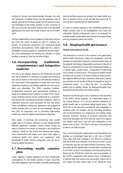curbing of chronic non-communicable illnesses, the care and treatment of mental illness and the palliative care of elderly, gravely ill and dying people are all posing increasing challenges to the health systems of poor countries. If they are to be met, the health systems have to be allocated appropriate resources and health literacy has to be developed.

Partner organisations receive support so that their services can cover the needs of people as part of a holistic approach. Of particular importance are community-based prevention and treatment. There might also be a need to strengthen nursing capacity in institutions because migration and urbanisation are causing the cohesion of large families to erode (cf. Brot für die Welt 2018a).

# **4.6. Incorporating traditional, complementary and integrative medicine**

Till now, in its support, Bread for the World has not paid that much attention to variations of health care provision that are not based on the model of conventional medicine. For many parts of the population in poor and rural areas, traditional medicine and healing methods are more accessible and affordable. The WHO considers traditional/alternative medicine and conventional medicine as equal and complementary systems (cf. WHO 2013). Traditional medicine should not be understood as a standardised system like conventional scientific medicine, which is organised along the same principles all over the world. There are different traditional, alternative and indigenous health systems that are more or less elaborate. Because they play an important role in providing high-quality health care, they are rightly receiving more attention.

New means of ensuring and monitoring their quality might have to be found. Because of their fundamentally different approach, scientific criteria cannot always be used to measure the results of alternative and traditional medicine. Bread for the World also believes that indigenous communities and others must retain their rights to medicinal herbs and plants and perpetuate their knowledge of these. Private companies must not be allowed to patent the plants.

# **4.7. Preventing health catastrophes**

Local, regional or global epidemics can have catastrophic consequences for the health systems of poor countries. The Ebola epidemic and the death of health professionals exerted terrible pressure on already very weak health systems in western Africa, as did the fact that almost all resources were concentrated on fighting Ebola.

In order to prevent epidemics and worldwide pandemics, health systems need to be strengthened and made less vulnerable. Health professionals have to be prepared for possible health catastrophes and trained to recognise them and put emergency plans into action.

# **4.8. Shaping health governance**

#### *Global and national levels*

The interaction of actors in the national, and particularly global health structures is often not transparent, with the interests of particulars frequently standing above those of the general well-being. Responsible governance should be based on a framework of values that understands health as a human right, a public good, a component of well-being and a matter of social justice. The impact on health should be taken into account in all areas of policy to reduce possible negative effects of policy decisions. State policy should pay attention to the health of the poor population and not concentrate solely - as is often the case - on providing health care to wealthy classes, by disproportionately supporting the private sector and urban centres.

Bread for the World pays a lot of attention to the activities of the WHO, whose mandate, as a specialised agency of the United Nations, is to set and demand standards for global health and to coordinate global health policy. The WHO has so far done this successfully with campaigns to eradicate polio for example, and by providing guidelines and recommendations for diagnosing and treating many diseases. However, because of financial constraints and structural shortages, the WHO has lost some of its agency and admits itself that it did not react adequately to the Ebola crisis of 2014. The WHO's role has to be reinforced so that it can fulfil its tasks.

New, private and profit-making actors and foundations are playing an increasingly large role in the area of health. They often link their funding to the WHO to conditions that serve their own interests. Thus there is a risk of a loss of neutrality and the one-sided setting of priorities. Member states should significantly increase their contributions to the WHO so that it has adequate and long-lasting funds. Bread for the World has called for more transparency in the WHO's cooperation with private actors. Furthermore, it believes that civil society and non-profits, whose role in this regard has been rather weak so far, should be more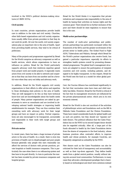involved in the WHO's political decision-making structures (cf. BfdW 2017a).

#### *Civil society*

In most countries, private organisations provide health care in addition to the state and civil society. Churches, other faith-based organisations and civil society organisations usually differ from private providers in that they do not work for profit. All over the world, civil society organisations play an important role in the area of health. Apart from providing health services, they tend to be critical of politicians.

Many of the projects and programmes supported by Bread for the World comprise an advocacy component as well as health services, which allows organisations to have an influence on politics. Bread for the World particularly supports advocacy work that reinforces expertise gained from project work and model projects. It especially wants actors from civil society to be able to network and cooperate so that they can learn from one another and be a forceful voice when they carry out lobby and advocacy work.

In addition, Bread for the World supports civil society organisations in their efforts to offer advice and expertise to those developing state policies in the area of health. They are well equipped to do this as they have technical know-how and are knowledgeable about the health needs of people. Many partner organisations are asked by governments to serve as consultants and are involved in developing national health strategies or improving health establishments for example. They can thus combine their consulting work with advocacy work for their target groups and have an impact on policy. Partner organisations are also encouraged to be transparent, accountable and responsible in their work with target groups and communities.

#### *Private sector*

In recent years, there has been a huge increase of private actors in the area of health. As a result, there is even less provision of health care to disadvantaged and poor people because generally only people who earn reasonably can afford the services of doctors with private practices, private hospitals or health insurance companies. This is particularly the case when there is no refinancing system and fees have to be paid directly. In Asia in particular the market has been invaded by private insurance companies and hospital groups.

Bread for the World thinks it is imperative that private initiatives and companies take responsibility in the area of health by basing their activities on human rights and the common good. There should be no further exclusion of the poor and there should be state regulation to ensure that this is the case.

#### *Multi-actor partnerships*

The number of multi-actor partnerships and publicprivate partnerships has particularly increased within the framework of the SDGs and the greater involvement of the private sector in health policy. The Global Fund to Fight AIDS, Tuberculosis and Malaria, through which Bread for the World's partner organisations also receive funds, has gained a particular importance, especially its efforts to strengthen health systems overall by promoting diseaserelated programmes. The global fund's management structures are adapted to ensure the participation of recipient countries and civil society, including patients, and designed to be highly transparent. In this respect, Bread for the World sees the fund as a model for other global partnerships.

Gavi, the Vaccine Alliance has contributed significantly to the fact that vaccination rates have risen and child mortality has fallen. However, Bread for the World is critical of the fact that its management structures are influenced by the private pharmaceuticals sector, which acts in its own economic interest.

Bread for the World is also not uncritical of the activities of philanthropic actors and foundations such as the Bill & Melinda Gates Foundation and the Clinton Foundation. These have raised considerable funds for global health and as such are positive, but they should not "squeeze out" state donors. The political influence that the Gates Foundation has on the WHO as its second-largest donor should also be regarded critically. After all, a large part of the funds allocated to health by the Gates Foundation derive from the shares of companies in the food industry, whose business practices often contradict efforts to improve health and whose products, for example CocaCola, are frequently categorised as unhealthy by the WHO.

New donors such as the Gates Foundation can also be criticised for their lack of transparency and accountability as well as their top-down approach. They define health needs from a global central position, usually without taking into account local communities. Furthermore, in many cases they advocate a development paradigm that is heavily based on technological and short-term solutions instead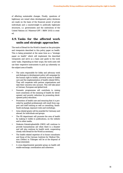of effecting sustainable changes. Finally, questions of legitimacy are raised when development policy decisions are made on the basis of the financial power of private individuals and a counterweight to politically legitimate structures, i.e. governments and the institutions of the United Nations (cf. Misereor/GPF / BfdW 2015) is created.

# **4.9. Tasks for the affected work units and strategic approaches**

The work of Bread for the World is based on the principles and viewpoints described in this policy paper on health. This is being presented at the same time as a "strategic paper on health" which will implement the described viewpoints and serve as a basis and guide to the work units' tasks. Depending on their scope, the work units will use their respective instruments to pick up coherently on the subject area of health:

- The units responsible for lobby and advocacy work and dialogue in development policy will campaign for the human right to health, universal access to health care and the implementation of health-related SDGs. They will cooperate with partner organisations and take their concerns into account. This will take place at German, European and global level.
- Domestic programmes will contribute to raising more awareness of the meaning of health for development and poverty reduction by promoting development policy education.
- Promotion of health care and ensuring that it is provided by qualified professionals will result from support and staff training as well as consulting, South-South exchange, exposure visits and workshops.
- Area-related grants will be awarded for Germany and abroad, for individuals and groups.
- The PR department will promote the area of health by making it visible in publications, on the website and in other media.
- Diakonie Katastrophenhilfe (DKH) will continue to provide humanitarian aid when there is a disaster and will also continue its health work, cooperating closely with Bread for the World as necessary.
- The health-related expertise of in-house consultants and those of the German Institute for Medical Mission (Difäm) in Tübingen will be at the disposal of those interested.
- A cross-departmental specialist group on health will enable exchange, coordination and coherence.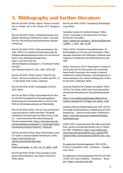# **5. Bibliography and further literature**

Brot für die Welt (2018a): Report. Partner Consultation on Health. 3rd to 6th October 2017, Bangalore, India.

Brot für die Welt (2018c): Antibiotikaresistenz und globale Tierhaltung. Published at: https://info.brotfuer-die-welt.de/blog/antibiotikaresistenz-globaletierhaltung

Brot für die Welt (2017a): Diskussionsbeitrag. Quo vadis, WHO? Vor welchen Herausforderungen die Weltgesundheitsorganisation steht und wie Deutschland zu ihrer Stärkung beitragen kann.

https://www.brot-fuer-die-

welt.de/fileadmin/mediapool/2\_Downloads/Fachin formatio-

nen/Analyse/Analyse72\_Quo\_vadis\_WHO.pdf,

Brot für die Welt (2016d): Report. Bread for the World - Partner Consultation on Health and HIV. 22 - 25 November 2016, Limbe, Cameroon.

Brot für die Welt (2016f): Strategieplan 2016 bis 2020. Berlin.

Brot für die Welt (2016g): Synthesebericht für Brot für die Welt/Evangelischer Entwicklungsdienst. Evaluierung der Zusammenarbeit von Brot für die Welt mit Dachorganisationen und Netzwerken.

Brot für die Welt (2016i): Wie ein Virus die Entwicklung eines ganzen Landes zerruettet. Die gesellschaftlichen Auswirkungen der Ebola-Krise in Liberia - unter besonderer Beruecksichtigung der Ernaehrungssicherheit. https://www.brot-fuer-diewelt.de/fileadmin/mediapool/2\_Downloads/Fachin formationen/Analyse/Analyse57\_Ebola.pdf

Brot für die Welt (2015a): Blog. Erwartungen an den G7-Gipfel zu antimikrobiellen Resistenzen (AMR), https://info.brot-fuer-diewelt.de/sites/default/files/blogdown-

loads/erwartungen\_zu\_amr\_an\_g7\_gipfel\_0.pdf

Brot für die Welt (2015b): Final evaluation of the project Ebola Response. Save Sierra Leone from Ebola. Berlin.

Brot für die Welt (2015f): Orientierung Familienplanung. Berlin.

Deutsches Institut für ärztliche Mission/ Difäm (2016): Gesundheit in der Einen Welt. Im Fokus: Psychische Gesundheit. https://difaem.de/uploads/tx\_bfactorpublikationen /GideW\_2\_2016\_web\_01.pdf

Difäm (2014): Christliche Gesundheitsarbeit: Zukunftsaufgabe von Kirchen und Gemeinden, Ueberlegungen anlaesslich des 50jährigen Jubiläums einer Tagung zur christlichen Gesundheitsarbeit im Jahr 1964

Difäm/ Scenarium (2017): Study Report. Analysis of existing Brot für die Welt projects for communitybased health financing in the context of national ambitions for health financing - and development of recommendations for a future funding policy of Brot für die Welt. Tuebingen/ Berlin

Deutsche Plattform für Globale Gesundheit/ DPGG (2017a): Fact Sheet. Brain Drain durch grenzueberschreitende Abwerbung von Gesundheitsfachkraeften.

https://www.plattformglobalegesundheit.de/wpcontent/uploads/2017/11/dpgg\_fact-sheets\_4.pdf

Deutsche Stiftung Weltbevoelkerung/ DSW (2017a): Freiwillige Familienplanung. Aufklaerung und Familienplanung – (k)eine normale Sache. Published at: https://www.dsw.org/unsere-themen/freiwilligefamilienplanung/

DIMR (1976): Internationaler Pakt ueber wirtschaftliche, soziale und kulturelle Rechte vom 19. Dezember 1966. Published at: http://www.institut-fuermenschenrechte.de/fileadmin/user\_upload/PDF-Dateien/Pakte\_Konventionen/ICESCR/icescr\_de.p df

Evangelischer Entwicklungsdienst/ EED (2010): Profil 14, Gesundheit. Profil - Positionen – Perspektiven. Bonn.

Evangelischer Entwicklungsdienst/Brot für die Welt (2006): HIV/Aids. Probleme – Positionen – Strategien. https://www.brot-fuer-die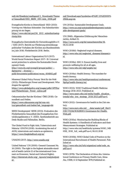welt.de/fileadmin/mediapool/2\_Downloads/Theme n/Gesundheit/EED\_BfdW\_HIV-Aids\_2006.pdf

Evangelische Kirche in Deutschland/ EKD (2013): Vortrag von Nikolaus Schneider: Das Subsidiaritätsprinzip ist ein Segen.

https://www.ekd.de/pm234\_2013\_subsidiaritaetsp rinzip.htm

Evangelische Zentralstelle für Entwicklungshilfe e.V. / EZE (2017): Bericht zur Förderung entwicklungspolitischer Vorhaben der Kirchen aus Bundesmitteln im Jahr 2016. Förderbericht 2016. Berlin.

International Labour Organization/ILO (2017): World Social Protection Report 2017–19. Universal social protection to achieve the Sustainable Development Goals.

http://www.ilo.org/wcmsp5/groups/public/-- dgreports/---dcomm/---

publ/documents/publication/wcms\_604882.pdf

Misereor/Global Policy Forum/ Brot für die Welt (2015): Philanthropic Power and Development. Who shapes the agenda?

https://www.globalpolicy.org/images/pdfs/GPFEur ope/Philanthropic\_Power\_online.pdf

Oekumenischer Rat der Kirchen/ ÖRK (2018): Gesundheit und Heilen.

https://www.oikoumene.org/de/was-wirtun/gesundheit-und-heilen?set\_language=de

SEEK Development/ SEEK (2013): Evaluation des Förderbereichs Gesundheit des Evangelischen Entwicklungsdienstes e. V. (EED). Synthesebericht aus Desk-Studie und Fallstudien. Berlin.

The Global Fund to Fight Aids, Tuberculosis and Malaria/ GFATM (2018): Accelerating the end of AIDS, tuberculosis and malaria as epidemics; https://www.theglobalfund.org/en/

UNAIDS (2017). http://www.unaids.org/

United Nations/ UN (2000): General Comment No. 14 (2000). The right to the highest attainable standard of health (article 12 of the international Covenant on Economic, Social and Cultural Rights). http://tbinternet.ohchr.org/\_layouts/treatybodyext er-

### nal/Download.aspx?symbolno=E%2fC.12%2f2000% 2f4&Lang=en

UN (2015a): Sustainable Development Goals. http://www.un.org/sustainabledevelopment/sustain able-development-goals/

UN (1948): Allgemeine Erklärung der Menschenrechte, Artikel 25. http://www.unric.org/de/menschenrechte/16, 06.02.2018

WHO (2018d): Neglected tropical diseases. http://www.who.int/neglected\_diseases/diseases/e n/

WHO (2018e): SDG 3: Ensure healthy lives and promote wellbeing for all at all ages. http://www.who.int/sdg/targets/en/

WHO (2016a): Health literacy. The mandate for health literacy.

http://www.who.int/healthpromotion/conferences/ 9gchp/health-literacy/en/

WHO (2013): WHO Traditional Health Medicine Strategy 2014-2023. Published at:

http://www.searo.who.int/entity/health\_situation\_ trends/who\_trm\_strategy\_2014-2023.pdf?ua=1,

WHO (2012): Governance for health in the 21st century.

http://www.euro.who.int/\_\_data/assets/pdf\_file/0 019/171334/RC62BD01-Governance-for-Health-Web.pdf,

WHO (2010a): Monitoring the Building Blocks of Health Systems: A Handbook of Indicators and their Measurement Strategies. Published at: http://www.who.int/healthinfo/systems/WHO\_MB HSS\_2010\_full\_web.pdf?ua=1, 06.02.2018

WHO (2010b): WHO Global Code of Practice on the International Recruitment of Health Personnel. Published at:

http://www.who.int/hrh/migration/code/code\_en. pdf?ua=1

WHO (1978): The Declaration of Alma Ata. International Conference on Primary Health Care, Alma-Ata, USSR, 6-12 September 1978,Published at: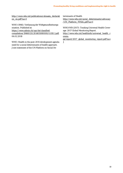http://www.who.int/publications/almaata\_declarati on\_en.pdf?ua=1

WHO (1946): Verfassung der Weltgesundheitsorganisation. Published at:

https://www.admin.ch/opc/de/classifiedcompilation/19460131/201405080000/0.810.1.pdf, 06.02.2018

WHO: Health in the post-2015 development agenda: need for a social determinants of health approach. Joint statement of the UN Platform on Social Determinants of Health http://www.who.int/social\_determinants/advocacy /UN\_Platform\_FINAL.pdf?ua=1

WHO/WB (2017): Tracking Universal Health Coverage: 2017 Global Monitoring Report.

http://www.who.int/healthinfo/universal\_health\_c overa-

ge/report/2017\_global\_monitoring\_report.pdf?ua= 1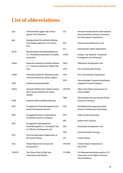# **List of abbreviations**

| AgA          | Aktionsbündnis gegen Aids (Action<br>against AIDS Germany)                                                    | GiZ           | Deutsche Gesellschaft für Internationale<br>Zusammenarbeit (German Association<br>for International Cooperation) |  |
|--------------|---------------------------------------------------------------------------------------------------------------|---------------|------------------------------------------------------------------------------------------------------------------|--|
| bpb          | Bundeszentrale für politische Bildung<br>(The Federal Agency for Civic Educa-<br>tion)                        | <b>HIV</b>    | Human immunodeficiency virus                                                                                     |  |
| <b>BVGF</b>  | Berufsverband Gesundheitsförderung                                                                            | <b>ILO</b>    | International Labour Organization                                                                                |  |
|              | e.V. (Professional association for health<br>promotion)                                                       | <b>LGBTI</b>  | Lesbian, Gay, Bisexual, Transexual/<br>Transgender und Intersexual                                               |  |
| Difäm        | Deutsches Institut für Ärztliche Mission<br>e. V. (German Institute for Medical Mis-<br>sion)                 | <b>MDG</b>    | Millennium Development Goal                                                                                      |  |
|              |                                                                                                               | <b>NCD</b>    | Non Communicable Disease                                                                                         |  |
| <b>DIMR</b>  | Deutsches Institut für Menschenrechte<br>(German Institute for Human Rights)                                  | <b>NGO</b>    | Non-Governmental Organisation                                                                                    |  |
| <b>DKH</b>   | Diakonie Katastrophenhilfe                                                                                    | <b>NTD</b>    | Vernachlässigte Tropische Krankheiten<br>(Neglected Tropical Diseases)                                           |  |
| <b>DPGG</b>  | Deutsche Plattform für Globale Gesund-<br>heit (German Plattform for Global                                   | <b>OHCHR</b>  | Office of the High Commissioner for<br>Human Rights                                                              |  |
| <b>DSW</b>   | Health)<br>Deutsche Stiftung Weltbevölkerung                                                                  | ÖRK           | Ökumenischer Rat der Kirchen (World<br>Council of Churches)                                                      |  |
| EED          | Evangelischer Entwicklungsdienst (Pro-<br>testant Development Service)                                        | <b>PDP</b>    | Produktentwicklungspartnerschaft<br>(Product Development Partnership)                                            |  |
| EKD          | Evangelische Kirche in Deutschland<br>(Protestant Church in Germany)                                          | <b>PPP</b>    | Public Private Partnership                                                                                       |  |
|              |                                                                                                               | RKI           | Robert Koch-Institute                                                                                            |  |
| EZE          | Evangelische Zentralstelle für<br>Entwicklungshilfe e.V. (Protestant Cent-<br>ral Office for Development Aid) | <b>SDG</b>    | Sustainable Development Goal                                                                                     |  |
|              |                                                                                                               | <b>UHC</b>    | Universal Health Coverage                                                                                        |  |
| <b>FAO</b>   | Food and Agriculture Organization of<br>the United Nations                                                    | UN            | <b>United Nations</b>                                                                                            |  |
| Gavi         | Global Alliance for Vaccines and<br>Immunisation                                                              | <b>UNAIDS</b> | United Nations Programme on<br>HIV/AIDS                                                                          |  |
| <b>GFATM</b> | The Global Fund to Fight Aids,<br><b>Tuberculosis and Malaria</b>                                             | UN-BRK        | UN-Behindertenrechtskonvention (UN<br>Convention on the Rights of Persons<br>with Disabilities)                  |  |